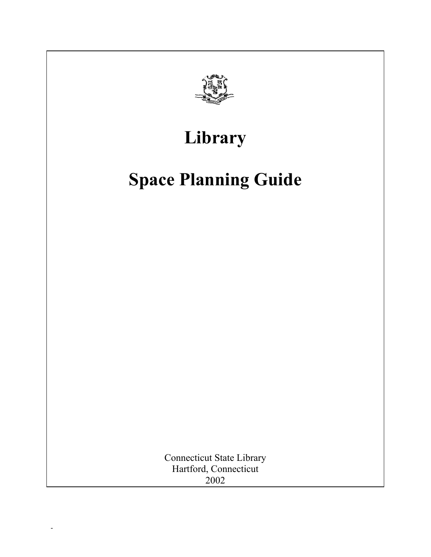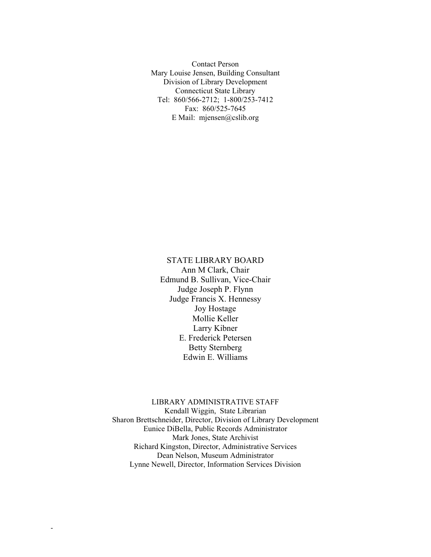Contact Person Mary Louise Jensen, Building Consultant Division of Library Development Connecticut State Library Tel: 860/566-2712; 1-800/253-7412 Fax: 860/525-7645 E Mail: mjensen@cslib.org

STATE LIBRARY BOARD Ann M Clark, Chair Edmund B. Sullivan, Vice-Chair Judge Joseph P. Flynn Judge Francis X. Hennessy Joy Hostage Mollie Keller Larry Kibner E. Frederick Petersen Betty Sternberg Edwin E. Williams

LIBRARY ADMINISTRATIVE STAFF Kendall Wiggin, State Librarian Sharon Brettschneider, Director, Division of Library Development Eunice DiBella, Public Records Administrator Mark Jones, State Archivist Richard Kingston, Director, Administrative Services Dean Nelson, Museum Administrator Lynne Newell, Director, Information Services Division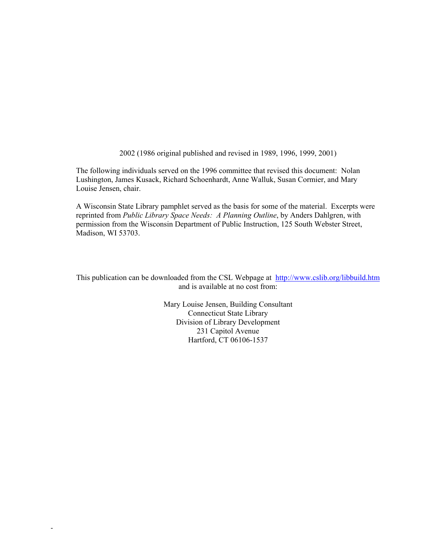2002 (1986 original published and revised in 1989, 1996, 1999, 2001)

The following individuals served on the 1996 committee that revised this document: Nolan Lushington, James Kusack, Richard Schoenhardt, Anne Walluk, Susan Cormier, and Mary Louise Jensen, chair.

A Wisconsin State Library pamphlet served as the basis for some of the material. Excerpts were reprinted from *Public Library Space Needs: A Planning Outline*, by Anders Dahlgren, with permission from the Wisconsin Department of Public Instruction, 125 South Webster Street, Madison, WI 53703.

This publication can be downloaded from the CSL Webpage at <http://www.cslib.org/libbuild.htm> and is available at no cost from:

> Mary Louise Jensen, Building Consultant Connecticut State Library Division of Library Development 231 Capitol Avenue Hartford, CT 06106-1537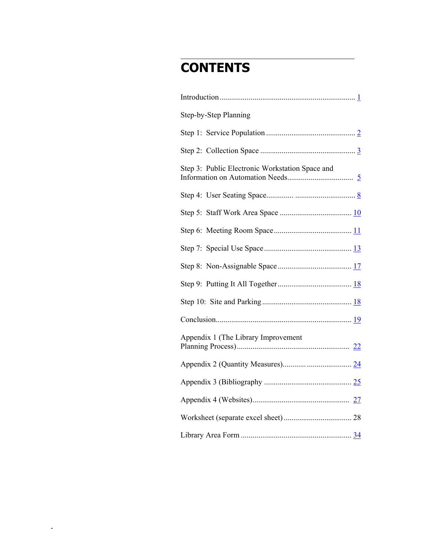# **CONTENTS**

l

| Step-by-Step Planning                           |  |
|-------------------------------------------------|--|
|                                                 |  |
|                                                 |  |
| Step 3: Public Electronic Workstation Space and |  |
|                                                 |  |
|                                                 |  |
|                                                 |  |
|                                                 |  |
|                                                 |  |
|                                                 |  |
|                                                 |  |
|                                                 |  |
| Appendix 1 (The Library Improvement             |  |
|                                                 |  |
|                                                 |  |
|                                                 |  |
|                                                 |  |
|                                                 |  |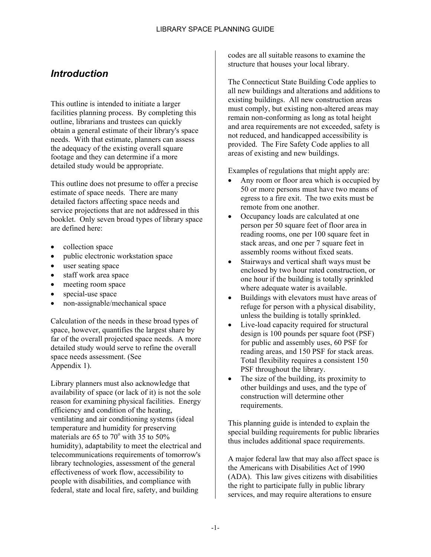## <span id="page-4-0"></span>*Introduction*

This outline is intended to initiate a larger facilities planning process. By completing this outline, librarians and trustees can quickly obtain a general estimate of their library's space needs. With that estimate, planners can assess the adequacy of the existing overall square footage and they can determine if a more detailed study would be appropriate.

This outline does not presume to offer a precise estimate of space needs. There are many detailed factors affecting space needs and service projections that are not addressed in this booklet. Only seven broad types of library space are defined here:

- collection space
- public electronic workstation space
- user seating space
- staff work area space
- meeting room space
- special-use space
- non-assignable/mechanical space

Calculation of the needs in these broad types of space, however, quantifies the largest share by far of the overall projected space needs. A more detailed study would serve to refine the overall space needs assessment. (See Appendix 1).

Library planners must also acknowledge that availability of space (or lack of it) is not the sole reason for examining physical facilities. Energy efficiency and condition of the heating, ventilating and air conditioning systems (ideal temperature and humidity for preserving materials are 65 to  $70^{\circ}$  with  $35$  to  $50\%$ humidity), adaptability to meet the electrical and telecommunications requirements of tomorrow's library technologies, assessment of the general effectiveness of work flow, accessibility to people with disabilities, and compliance with federal, state and local fire, safety, and building

codes are all suitable reasons to examine the structure that houses your local library.

The Connecticut State Building Code applies to all new buildings and alterations and additions to existing buildings. All new construction areas must comply, but existing non-altered areas may remain non-conforming as long as total height and area requirements are not exceeded, safety is not reduced, and handicapped accessibility is provided. The Fire Safety Code applies to all areas of existing and new buildings.

Examples of regulations that might apply are:

- Any room or floor area which is occupied by 50 or more persons must have two means of egress to a fire exit. The two exits must be remote from one another.
- Occupancy loads are calculated at one person per 50 square feet of floor area in reading rooms, one per 100 square feet in stack areas, and one per 7 square feet in assembly rooms without fixed seats.
- Stairways and vertical shaft ways must be enclosed by two hour rated construction, or one hour if the building is totally sprinkled where adequate water is available.
- Buildings with elevators must have areas of refuge for person with a physical disability, unless the building is totally sprinkled.
- Live-load capacity required for structural design is 100 pounds per square foot (PSF) for public and assembly uses, 60 PSF for reading areas, and 150 PSF for stack areas. Total flexibility requires a consistent 150 PSF throughout the library.
- The size of the building, its proximity to other buildings and uses, and the type of construction will determine other requirements.

This planning guide is intended to explain the special building requirements for public libraries thus includes additional space requirements.

A major federal law that may also affect space is the Americans with Disabilities Act of 1990 (ADA). This law gives citizens with disabilities the right to participate fully in public library services, and may require alterations to ensure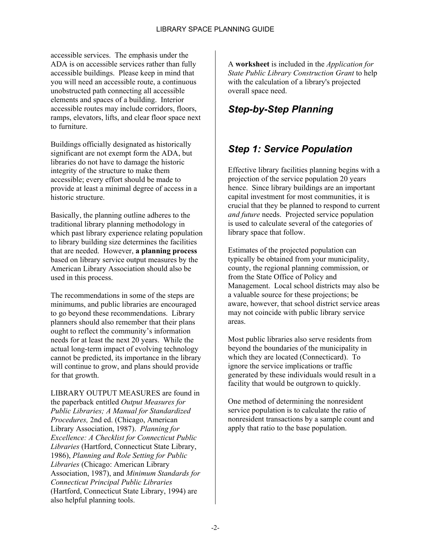accessible services. The emphasis under the ADA is on accessible services rather than fully accessible buildings. Please keep in mind that you will need an accessible route, a continuous unobstructed path connecting all accessible elements and spaces of a building. Interior accessible routes may include corridors, floors, ramps, elevators, lifts, and clear floor space next to furniture.

Buildings officially designated as historically significant are not exempt form the ADA, but libraries do not have to damage the historic integrity of the structure to make them accessible; every effort should be made to provide at least a minimal degree of access in a historic structure.

Basically, the planning outline adheres to the traditional library planning methodology in which past library experience relating population to library building size determines the facilities that are needed. However, **a planning process** based on library service output measures by the American Library Association should also be used in this process.

The recommendations in some of the steps are minimums, and public libraries are encouraged to go beyond these recommendations. Library planners should also remember that their plans ought to reflect the community's information needs for at least the next 20 years. While the actual long-term impact of evolving technology cannot be predicted, its importance in the library will continue to grow, and plans should provide for that growth.

LIBRARY OUTPUT MEASURES are found in the paperback entitled *Output Measures for Public Libraries; A Manual for Standardized Procedures,* 2nd ed. (Chicago, American Library Association, 1987). *Planning for Excellence: A Checklist for Connecticut Public Libraries* (Hartford, Connecticut State Library, 1986), *Planning and Role Setting for Public Libraries* (Chicago: American Library Association, 1987), and *Minimum Standards for Connecticut Principal Public Libraries* (Hartford, Connecticut State Library, 1994) are also helpful planning tools.

A **worksheet** is included in the *Application for State Public Library Construction Grant* to help with the calculation of a library's projected overall space need.

# *Step-by-Step Planning*

## <span id="page-5-0"></span>*Step 1: Service Population*

Effective library facilities planning begins with a projection of the service population 20 years hence. Since library buildings are an important capital investment for most communities, it is crucial that they be planned to respond to current *and future* needs. Projected service population is used to calculate several of the categories of library space that follow.

Estimates of the projected population can typically be obtained from your municipality, county, the regional planning commission, or from the State Office of Policy and Management. Local school districts may also be a valuable source for these projections; be aware, however, that school district service areas may not coincide with public library service areas.

Most public libraries also serve residents from beyond the boundaries of the municipality in which they are located (Connecticard). To ignore the service implications or traffic generated by these individuals would result in a facility that would be outgrown to quickly.

One method of determining the nonresident service population is to calculate the ratio of nonresident transactions by a sample count and apply that ratio to the base population.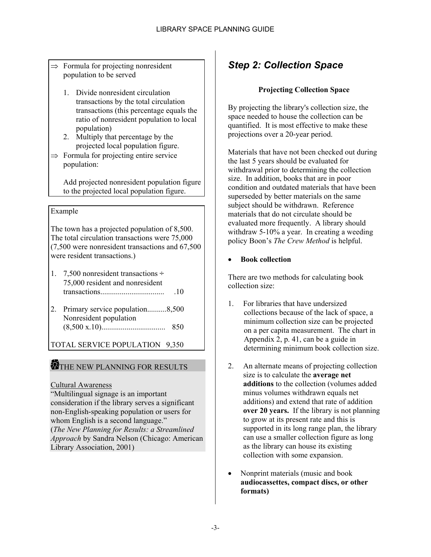- $\Rightarrow$  Formula for projecting nonresident population to be served
	- 1. Divide nonresident circulation transactions by the total circulation transactions (this percentage equals the ratio of nonresident population to local population)
	- 2. Multiply that percentage by the projected local population figure.
- $\Rightarrow$  Formula for projecting entire service population:

Add projected nonresident population figure to the projected local population figure.

### Example

The town has a projected population of 8,500. The total circulation transactions were 75,000 (7,500 were nonresident transactions and 67,500 were resident transactions.)

- 1. 7,500 nonresident transactions ÷ 75,000 resident and nonresident transactions................................. .10
- 2. Primary service population..........8,500 Nonresident population (8,500 x.10)................................. 850

TOTAL SERVICE POPULATION 9,350

## THE NEW PLANNING FOR RESULTS

### Cultural Awareness

"Multilingual signage is an important consideration if the library serves a significant non-English-speaking population or users for whom English is a second language." (*The New Planning for Results: a Streamlined Approach* by Sandra Nelson (Chicago: American Library Association, 2001)

# <span id="page-6-0"></span>*Step 2: Collection Space*

### **Projecting Collection Space**

By projecting the library's collection size, the space needed to house the collection can be quantified. It is most effective to make these projections over a 20-year period.

Materials that have not been checked out during the last 5 years should be evaluated for withdrawal prior to determining the collection size. In addition, books that are in poor condition and outdated materials that have been superseded by better materials on the same subject should be withdrawn. Reference materials that do not circulate should be evaluated more frequently. A library should withdraw 5-10% a year. In creating a weeding policy Boon's *The Crew Method* is helpful.

### • **Book collection**

There are two methods for calculating book collection size:

- 1. For libraries that have undersized collections because of the lack of space, a minimum collection size can be projected on a per capita measurement. The chart in Appendix 2, p. 41, can be a guide in determining minimum book collection size.
- 2. An alternate means of projecting collection size is to calculate the **average net additions** to the collection (volumes added minus volumes withdrawn equals net additions) and extend that rate of addition **over 20 years.** If the library is not planning to grow at its present rate and this is supported in its long range plan, the library can use a smaller collection figure as long as the library can house its existing collection with some expansion.
- Nonprint materials (music and book **audiocassettes, compact discs, or other formats)**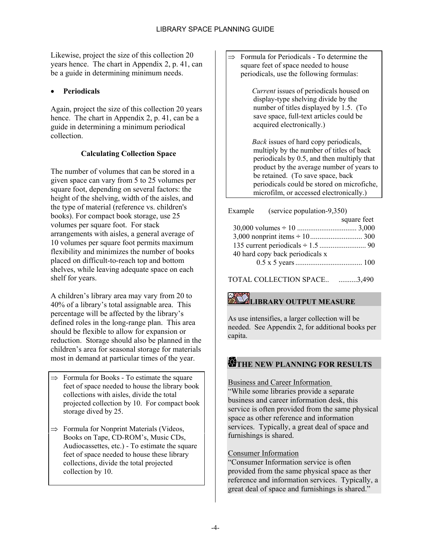Likewise, project the size of this collection 20 years hence. The chart in Appendix 2, p. 41, can be a guide in determining minimum needs.

### • **Periodicals**

Again, project the size of this collection 20 years hence. The chart in Appendix 2, p. 41, can be a guide in determining a minimum periodical collection.

### **Calculating Collection Space**

The number of volumes that can be stored in a given space can vary from 5 to 25 volumes per square foot, depending on several factors: the height of the shelving, width of the aisles, and the type of material (reference vs. children's books). For compact book storage, use 25 volumes per square foot. For stack arrangements with aisles, a general average of 10 volumes per square foot permits maximum flexibility and minimizes the number of books placed on difficult-to-reach top and bottom shelves, while leaving adequate space on each shelf for years.

A children's library area may vary from 20 to 40% of a library's total assignable area. This percentage will be affected by the library's defined roles in the long-range plan. This area should be flexible to allow for expansion or reduction. Storage should also be planned in the children's area for seasonal storage for materials most in demand at particular times of the year.

- $\Rightarrow$  Formula for Books To estimate the square feet of space needed to house the library book collections with aisles, divide the total projected collection by 10. For compact book storage dived by 25.
- $\Rightarrow$  Formula for Nonprint Materials (Videos, Books on Tape, CD-ROM's, Music CDs, Audiocassettes, etc.) - To estimate the square feet of space needed to house these library collections, divide the total projected collection by 10.

 $\Rightarrow$  Formula for Periodicals - To determine the square feet of space needed to house periodicals, use the following formulas:

> *Current* issues of periodicals housed on display-type shelving divide by the number of titles displayed by 1.5. (To save space, full-text articles could be acquired electronically.)

 *Back* issues of hard copy periodicals, multiply by the number of titles of back periodicals by 0.5, and then multiply that product by the average number of years to be retained. (To save space, back periodicals could be stored on microfiche, microfilm, or accessed electronically.)

Example (service population-9,350) square feet 30,000 volumes ÷ 10 ................................ 3,000 3,000 nonprint items ÷ 10............................ 300 135 current periodicals ÷ 1.5 ......................... 90 40 hard copy back periodicals x 0.5 x 5 years .................................... 100

TOTAL COLLECTION SPACE.. ..........3,490

# **LIBRARY OUTPUT MEASURE**

As use intensifies, a larger collection will be needed. See Appendix 2, for additional books per capita.

### **THE NEW PLANNING FOR RESULTS**

### Business and Career Information

"While some libraries provide a separate business and career information desk, this service is often provided from the same physical space as other reference and information services. Typically, a great deal of space and furnishings is shared.

### Consumer Information

"Consumer Information service is often provided from the same physical space as ther reference and information services. Typically, a great deal of space and furnishings is shared."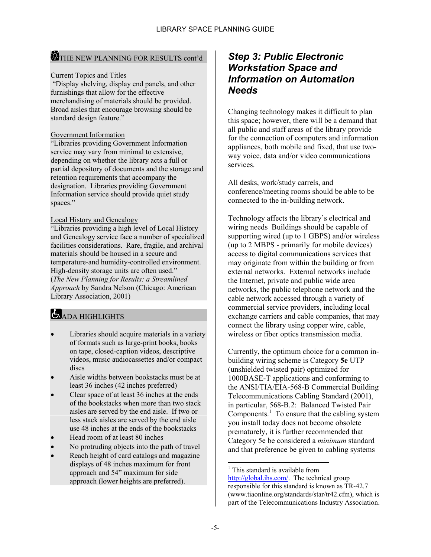### THE NEW PLANNING FOR RESULTS cont'd

### Current Topics and Titles

 "Display shelving, display end panels, and other furnishings that allow for the effective merchandising of materials should be provided. Broad aisles that encourage browsing should be standard design feature."

### Government Information

"Libraries providing Government Information service may vary from minimal to extensive, depending on whether the library acts a full or partial depository of documents and the storage and retention requirements that accompany the designation. Libraries providing Government Information service should provide quiet study spaces."

### Local History and Genealogy

"Libraries providing a high level of Local History and Genealogy service face a number of specialized facilities considerations. Rare, fragile, and archival materials should be housed in a secure and temperature-and humidity-controlled environment. High-density storage units are often used." (*The New Planning for Results: a Streamlined Approach* by Sandra Nelson (Chicago: American Library Association, 2001)

# ADA HIGHLIGHTS

- Libraries should acquire materials in a variety of formats such as large-print books, books on tape, closed-caption videos, descriptive videos, music audiocassettes and/or compact discs
- Aisle widths between bookstacks must be at least 36 inches (42 inches preferred)
- Clear space of at least 36 inches at the ends of the bookstacks when more than two stack aisles are served by the end aisle. If two or less stack aisles are served by the end aisle use 48 inches at the ends of the bookstacks
- Head room of at least 80 inches
- No protruding objects into the path of travel
- Reach height of card catalogs and magazine displays of 48 inches maximum for front approach and 54" maximum for side approach (lower heights are preferred).

### <span id="page-8-0"></span>*Step 3: Public Electronic Workstation Space and Information on Automation Needs*

Changing technology makes it difficult to plan this space; however, there will be a demand that all public and staff areas of the library provide for the connection of computers and information appliances, both mobile and fixed, that use twoway voice, data and/or video communications services.

All desks, work/study carrels, and conference/meeting rooms should be able to be connected to the in-building network.

Technology affects the library's electrical and wiring needs Buildings should be capable of supporting wired (up to 1 GBPS) and/or wireless (up to 2 MBPS - primarily for mobile devices) access to digital communications services that may originate from within the building or from external networks. External networks include the Internet, private and public wide area networks, the public telephone network and the cable network accessed through a variety of commercial service providers, including local exchange carriers and cable companies, that may connect the library using copper wire, cable, wireless or fiber optics transmission media.

Currently, the optimum choice for a common inbuilding wiring scheme is Category **5e** UTP (unshielded twisted pair) optimized for 1000BASE-T applications and conforming to the ANSI/TIA/EIA-568-B Commercial Building Telecommunications Cabling Standard (2001), in particular, 568-B.2: Balanced Twisted Pair Components. $\frac{1}{1}$  $\frac{1}{1}$  $\frac{1}{1}$  To ensure that the cabling system you install today does not become obsolete prematurely, it is further recommended that Category 5e be considered a *minimum* standard and that preference be given to cabling systems

l

<span id="page-8-1"></span> $<sup>1</sup>$  This standard is available from</sup> http://global.ihs.com/. The technical group responsible for this standard is known as TR-42.7 (www.tiaonline.org/standards/star/tr42.cfm), which is part of the Telecommunications Industry Association.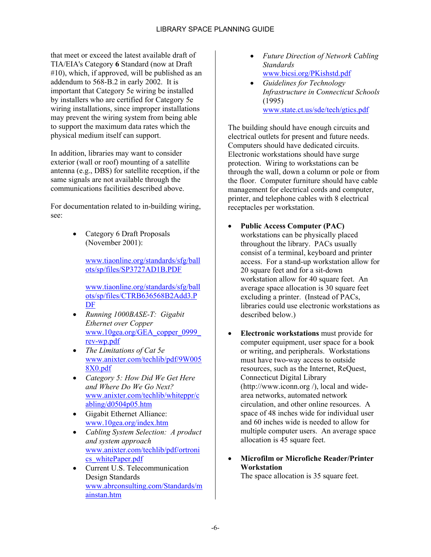that meet or exceed the latest available draft of TIA/EIA's Category **6** Standard (now at Draft #10), which, if approved, will be published as an addendum to 568-B.2 in early 2002. It is important that Category 5e wiring be installed by installers who are certified for Category 5e wiring installations, since improper installations may prevent the wiring system from being able to support the maximum data rates which the physical medium itself can support.

In addition, libraries may want to consider exterior (wall or roof) mounting of a satellite antenna (e.g., DBS) for satellite reception, if the same signals are not available through the communications facilities described above.

For documentation related to in-building wiring, see:

> • Category 6 Draft Proposals (November 2001):

> > [www.tiaonline.org/standards/sfg](http://www.tiaonline.org/standards/sfg/ballots/sp/files/SP3727AD1B.PDF)/ball [ots/sp/files/SP3727AD1B.PDF](http://www.tiaonline.org/standards/sfg/ballots/sp/files/CTRB636568B2Add3.PDF)

> > w[ww](http://www.tiaonline.org/standards/sfg/ballots/sp/files/CTRB636568B2Add3.PDF).tiaonline.org/standards/sfg/ball ots/sp/files/CTRB636568B2Add3.P DF

- *[Running 1000BASE-T: Gigabit](http://www.10gea.org/GEA_copper_0999_rev-wp.pdf) [Ethernet ov](http://www.10gea.org/GEA_copper_0999_rev-wp.pdf)er Copper* www.10gea.org/GEA\_copper\_0999\_ [rev-wp.pdf](http://www.anixter.com/techlib/pdf/9W0058X0.pdf)
- *[The Limi](http://www.anixter.com/techlib/pdf/9W0058X0.pdf)tations of Cat 5e* www.anixter.com/techlib/pdf/9W005 8X0.pdf
- *[Category 5: How Did We Get Here](http://www.anixter.com/techlib/whiteppr/cabling/d0504p05.htm) [and Where Do We Go](http://www.anixter.com/techlib/whiteppr/cabling/d0504p05.htm) Next?* www.anixter.com/techlib/whiteppr/c [abling/d0504p05.htm](http://www.10gea.org/index.htm)
- Gigabit Ethernet Alliance: www.10gea.org/index.htm
- *[Cabling System Selection: A product](http://www.anixter.com/techlib/pdf/ortronics_whitePaper.pdf) [and system approac](http://www.anixter.com/techlib/pdf/ortronics_whitePaper.pdf)h* www.anixter.com/techlib/pdf/ortroni cs\_whitePaper.pdf
- [Current U.S. Telecommunication](http://www.abrconsulting.com/Standards/mainstan.htm) [Design Stan](http://www.abrconsulting.com/Standards/mainstan.htm)dards www.abrconsulting.com/Standards/m ainstan.htm
- *Future Direction of Network Cabling Standards* [www.bicsi.org/PKishstd.pdf](http://www.bicsi.org/PKishstd.pdf)
- *Guidelines for Technology Infrastructure in Connecticut Schools* (1995) [www.state.ct.us/sde/tech/gtics.pdf](http://www.state.ct.us/sde/tech/gtics.pdf)

The building should have enough circuits and electrical outlets for present and future needs. Computers should have dedicated circuits. Electronic workstations should have surge protection. Wiring to workstations can be through the wall, down a column or pole or from the floor. Computer furniture should have cable management for electrical cords and computer, printer, and telephone cables with 8 electrical receptacles per workstation.

- **Public Access Computer (PAC)** workstations can be physically placed throughout the library. PACs usually consist of a terminal, keyboard and printer access. For a stand-up workstation allow for 20 square feet and for a sit-down workstation allow for 40 square feet. An average space allocation is 30 square feet excluding a printer. (Instead of PACs, libraries could use electronic workstations as described below.)
- **Electronic workstations** must provide for computer equipment, user space for a book or writing, and peripherals. Workstations must have two-way access to outside resources, such as the Internet, ReQuest, Connecticut Digital Library (http://www.iconn.org /), local and widearea networks, automated network circulation, and other online resources. A space of 48 inches wide for individual user and 60 inches wide is needed to allow for multiple computer users. An average space allocation is 45 square feet.
- **Microfilm or Microfiche Reader/Printer Workstation**

The space allocation is 35 square feet.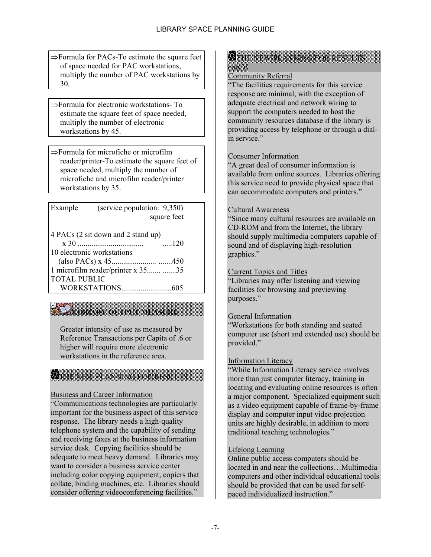⇒Formula for PACs-To estimate the square feet of space needed for PAC workstations, multiply the number of PAC workstations by 30.

⇒Formula for electronic workstations- To estimate the square feet of space needed, multiply the number of electronic workstations by 45.

⇒Formula for microfiche or microfilm reader/printer-To estimate the square feet of space needed, multiply the number of microfiche and microfilm reader/printer workstations by 35.

| Example                    | (service population: 9,350)        |             |
|----------------------------|------------------------------------|-------------|
|                            |                                    | square feet |
|                            | 4 PACs (2 sit down and 2 stand up) |             |
|                            |                                    | $\dots 120$ |
| 10 electronic workstations |                                    |             |
|                            |                                    |             |
|                            | 1 microfilm reader/printer x 35 35 |             |
| <b>TOTAL PUBLIC</b>        |                                    |             |
|                            |                                    |             |

# **LIBRARY OUTPUT MEASURE**

Greater intensity of use as measured by Reference Transactions per Capita of .6 or higher will require more electronic workstations in the reference area.

#### IIII IIIII IXKWAANAN KANAN KANAN KANAN KANAN KANAN KANAN KANAN KANAN KANAN KANAN KANAN KANAN KANAN KANAN KANA THE NEW PLANNING FOR RESULTS

### Business and Career Information

"Communications technologies are particularly important for the business aspect of this service response. The library needs a high-quality telephone system and the capability of sending and receiving faxes at the business information service desk. Copying facilities should be adequate to meet heavy demand. Libraries may want to consider a business service center including color copying equipment, copiers that collate, binding machines, etc. Libraries should consider offering videoconferencing facilities."

#### **W** THE NEW PLANNING FOR RESULTS cont'd

### Community Referral

"The facilities requirements for this service response are minimal, with the exception of adequate electrical and network wiring to support the computers needed to host the community resources database if the library is providing access by telephone or through a dialin service"

### Consumer Information

"A great deal of consumer information is available from online sources. Libraries offering this service need to provide physical space that can accommodate computers and printers."

### Cultural Awareness

"Since many cultural resources are available on CD-ROM and from the Internet, the library should supply multimedia computers capable of sound and of displaying high-resolution graphics."

### Current Topics and Titles

"Libraries may offer listening and viewing facilities for browsing and previewing purposes."

### General Information

"Workstations for both standing and seated computer use (short and extended use) should be provided."

### Information Literacy

"While Information Literacy service involves more than just computer literacy, training in locating and evaluating online resources is often a major component. Specialized equipment such as a video equipment capable of frame-by-frame display and computer input video projection units are highly desirable, in addition to more traditional teaching technologies."

### Lifelong Learning

Online public access computers should be located in and near the collections…Multimedia computers and other individual educational tools should be provided that can be used for selfpaced individualized instruction."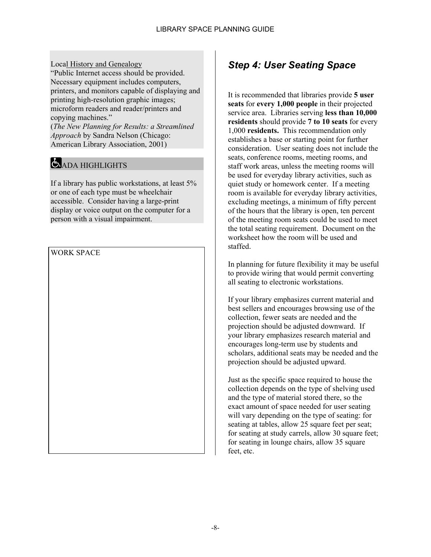Local History and Genealogy "Public Internet access should be provided. Necessary equipment includes computers, printers, and monitors capable of displaying and printing high-resolution graphic images; microform readers and reader/printers and copying machines." (*The New Planning for Results: a Streamlined Approach* by Sandra Nelson (Chicago:

American Library Association, 2001)

# ADA HIGHLIGHTS

If a library has public workstations, at least 5% or one of each type must be wheelchair accessible. Consider having a large-print display or voice output on the computer for a person with a visual impairment.

WORK SPACE

# <span id="page-11-0"></span>*Step 4: User Seating Space*

It is recommended that libraries provide **5 user seats** for **every 1,000 people** in their projected service area. Libraries serving **less than 10,000 residents** should provide **7 to 10 seats** for every 1,000 **residents.** This recommendation only establishes a base or starting point for further consideration. User seating does not include the seats, conference rooms, meeting rooms, and staff work areas, unless the meeting rooms will be used for everyday library activities, such as quiet study or homework center. If a meeting room is available for everyday library activities, excluding meetings, a minimum of fifty percent of the hours that the library is open, ten percent of the meeting room seats could be used to meet the total seating requirement. Document on the worksheet how the room will be used and staffed.

In planning for future flexibility it may be useful to provide wiring that would permit converting all seating to electronic workstations.

If your library emphasizes current material and best sellers and encourages browsing use of the collection, fewer seats are needed and the projection should be adjusted downward. If your library emphasizes research material and encourages long-term use by students and scholars, additional seats may be needed and the projection should be adjusted upward.

Just as the specific space required to house the collection depends on the type of shelving used and the type of material stored there, so the exact amount of space needed for user seating will vary depending on the type of seating: for seating at tables, allow 25 square feet per seat; for seating at study carrels, allow 30 square feet; for seating in lounge chairs, allow 35 square feet, etc.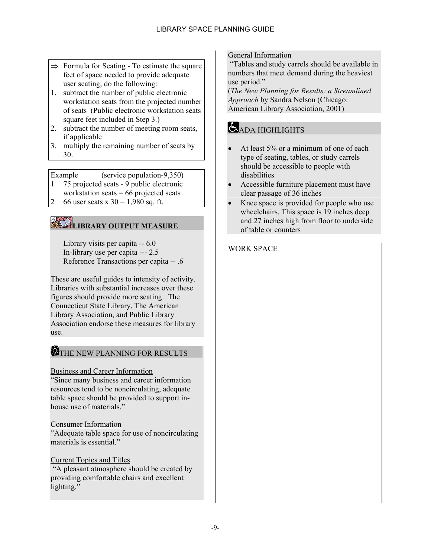- $\Rightarrow$  Formula for Seating To estimate the square feet of space needed to provide adequate user seating, do the following:
- 1. subtract the number of public electronic workstation seats from the projected number of seats (Public electronic workstation seats square feet included in Step 3.)
- 2. subtract the number of meeting room seats, if applicable
- 3. multiply the remaining number of seats by 30.

Example (service population-9,350)

- 1 75 projected seats 9 public electronic
- workstation seats = 66 projected seats
- 2 66 user seats x  $30 = 1,980$  sq. ft.

# **LIBRARY OUTPUT MEASURE**

Library visits per capita -- 6.0 In-library use per capita --- 2.5 Reference Transactions per capita -- .6

These are useful guides to intensity of activity. Libraries with substantial increases over these figures should provide more seating. The Connecticut State Library, The American Library Association, and Public Library Association endorse these measures for library use.

### THE NEW PLANNING FOR RESULTS

### Business and Career Information

"Since many business and career information resources tend to be noncirculating, adequate table space should be provided to support inhouse use of materials."

### Consumer Information

"Adequate table space for use of noncirculating materials is essential."

### Current Topics and Titles

<span id="page-12-0"></span> "A pleasant atmosphere should be created by providing comfortable chairs and excellent lighting."

### General Information

 "Tables and study carrels should be available in numbers that meet demand during the heaviest use period."

(*The New Planning for Results: a Streamlined Approach* by Sandra Nelson (Chicago: American Library Association, 2001)

# ADA HIGHLIGHTS

- At least 5% or a minimum of one of each type of seating, tables, or study carrels should be accessible to people with disabilities
- Accessible furniture placement must have clear passage of 36 inches
- Knee space is provided for people who use wheelchairs. This space is 19 inches deep and 27 inches high from floor to underside of table or counters

### WORK SPACE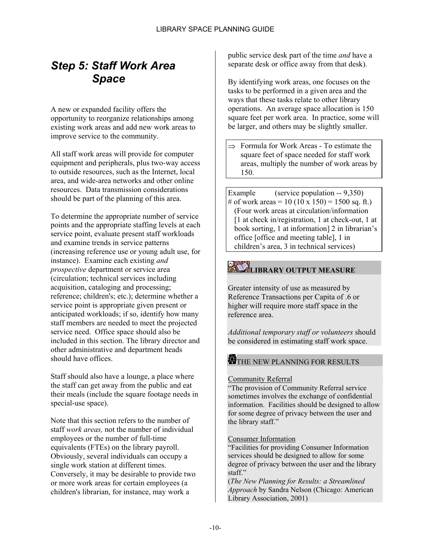# *Step 5: Staff Work Area Space*

A new or expanded facility offers the opportunity to reorganize relationships among existing work areas and add new work areas to improve service to the community.

All staff work areas will provide for computer equipment and peripherals, plus two-way access to outside resources, such as the Internet, local area, and wide-area networks and other online resources. Data transmission considerations should be part of the planning of this area.

To determine the appropriate number of service points and the appropriate staffing levels at each service point, evaluate present staff workloads and examine trends in service patterns (increasing reference use or young adult use, for instance). Examine each existing *and prospective* department or service area (circulation; technical services including acquisition, cataloging and processing; reference; children's; etc.); determine whether a service point is appropriate given present or anticipated workloads; if so, identify how many staff members are needed to meet the projected service need. Office space should also be included in this section. The library director and other administrative and department heads should have offices.

Staff should also have a lounge, a place where the staff can get away from the public and eat their meals (include the square footage needs in special-use space).

Note that this section refers to the number of staff *work areas,* not the number of individual employees or the number of full-time equivalents (FTEs) on the library payroll. Obviously, several individuals can occupy a single work station at different times. Conversely, it may be desirable to provide two or more work areas for certain employees (a children's librarian, for instance, may work a

public service desk part of the time *and* have a separate desk or office away from that desk).

By identifying work areas, one focuses on the tasks to be performed in a given area and the ways that these tasks relate to other library operations. An average space allocation is 150 square feet per work area. In practice, some will be larger, and others may be slightly smaller.

⇒ Formula for Work Areas - To estimate the square feet of space needed for staff work areas, multiply the number of work areas by 150.

Example (service population -- 9,350) # of work areas = 10 (10 x 150) = 1500 sq. ft.) (Four work areas at circulation/information [1 at check in/registration, 1 at check-out, 1 at book sorting, 1 at information] 2 in librarian's office [office and meeting table], 1 in children's area, 3 in technical services)

# **LIBRARY OUTPUT MEASURE**

Greater intensity of use as measured by Reference Transactions per Capita of .6 or higher will require more staff space in the reference area.

*Additional temporary staff or volunteers* should be considered in estimating staff work space.

# THE NEW PLANNING FOR RESULTS

### Community Referral

"The provision of Community Referral service sometimes involves the exchange of confidential information. Facilities should be designed to allow for some degree of privacy between the user and the library staff."

### Consumer Information

"Facilities for providing Consumer Information services should be designed to allow for some degree of privacy between the user and the library staff."

(*The New Planning for Results: a Streamlined Approach* by Sandra Nelson (Chicago: American Library Association, 2001)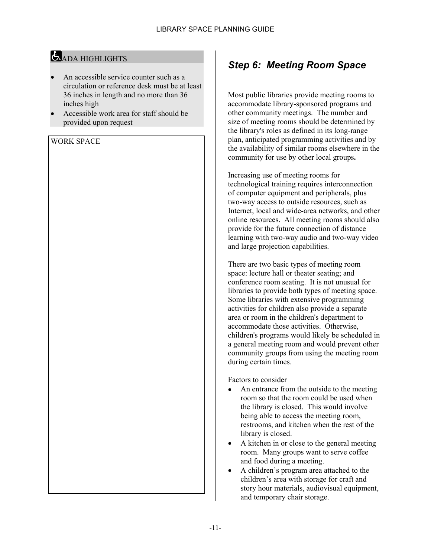# ADA HIGHLIGHTS

- An accessible service counter such as a circulation or reference desk must be at least 36 inches in length and no more than 36 inches high
- Accessible work area for staff should be provided upon request

WORK SPACE

# <span id="page-14-0"></span>*Step 6: Meeting Room Space*

Most public libraries provide meeting rooms to accommodate library-sponsored programs and other community meetings. The number and size of meeting rooms should be determined by the library's roles as defined in its long-range plan, anticipated programming activities and by the availability of similar rooms elsewhere in the community for use by other local groups**.**

Increasing use of meeting rooms for technological training requires interconnection of computer equipment and peripherals, plus two-way access to outside resources, such as Internet, local and wide-area networks, and other online resources. All meeting rooms should also provide for the future connection of distance learning with two-way audio and two-way video and large projection capabilities.

There are two basic types of meeting room space: lecture hall or theater seating; and conference room seating. It is not unusual for libraries to provide both types of meeting space. Some libraries with extensive programming activities for children also provide a separate area or room in the children's department to accommodate those activities. Otherwise, children's programs would likely be scheduled in a general meeting room and would prevent other community groups from using the meeting room during certain times.

Factors to consider

- An entrance from the outside to the meeting room so that the room could be used when the library is closed. This would involve being able to access the meeting room, restrooms, and kitchen when the rest of the library is closed.
- A kitchen in or close to the general meeting room. Many groups want to serve coffee and food during a meeting.
- A children's program area attached to the children's area with storage for craft and story hour materials, audiovisual equipment, and temporary chair storage.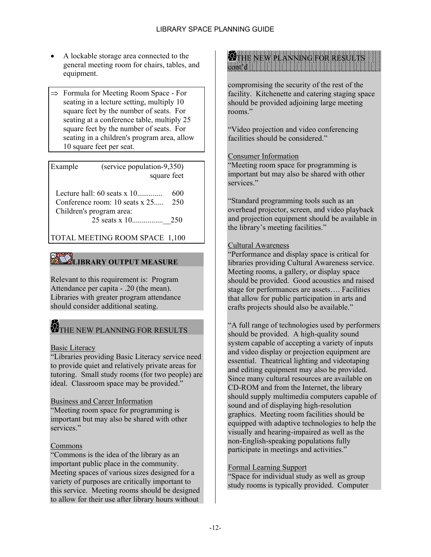- A lockable storage area connected to the general meeting room for chairs, tables, and equipment.
- ⇒ Formula for Meeting Room Space For seating in a lecture setting, multiply 10 square feet by the number of seats. For seating at a conference table, multiply 25 square feet by the number of seats. For seating in a children's program area, allow 10 square feet per seat.

Example (service population-9,350) square feet Lecture hall: 60 seats x 10............. 600 Conference room: 10 seats x 25..... 250 Children's program area:

25 seats x 10................\_\_250

TOTAL MEETING ROOM SPACE 1,100

# **LIBRARY OUTPUT MEASURE**

Relevant to this requirement is: Program Attendance per capita - .20 (the mean). Libraries with greater program attendance should consider additional seating.

# THE NEW PLANNING FOR RESULTS

### Basic Literacy

"Libraries providing Basic Literacy service need to provide quiet and relatively private areas for tutoring. Small study rooms (for two people) are ideal. Classroom space may be provided."

### Business and Career Information

"Meeting room space for programming is important but may also be shared with other services."

### Commons

"Commons is the idea of the library as an important public place in the community. Meeting spaces of various sizes designed for a variety of purposes are critically important to this service. Meeting rooms should be designed to allow for their use after library hours without



compromising the security of the rest of the facility. Kitchenette and catering staging space should be provided adjoining large meeting rooms."

"Video projection and video conferencing facilities should be considered."

### Consumer Information

"Meeting room space for programming is important but may also be shared with other services."

"Standard programming tools such as an overhead projector, screen, and video playback and projection equipment should be available in the library's meeting facilities."

### Cultural Awareness

"Performance and display space is critical for libraries providing Cultural Awareness service. Meeting rooms, a gallery, or display space should be provided. Good acoustics and raised stage for performances are assets…. Facilities that allow for public participation in arts and crafts projects should also be available."

"A full range of technologies used by performers should be provided. A high-quality sound system capable of accepting a variety of inputs and video display or projection equipment are essential. Theatrical lighting and videotaping and editing equipment may also be provided. Since many cultural resources are available on CD-ROM and from the Internet, the library should supply multimedia computers capable of sound and of displaying high-resolution graphics. Meeting room facilities should be equipped with adaptive technologies to help the visually and hearing-impaired as well as the non-English-speaking populations fully participate in meetings and activities."

### Formal Learning Support

"Space for individual study as well as group study rooms is typically provided. Computer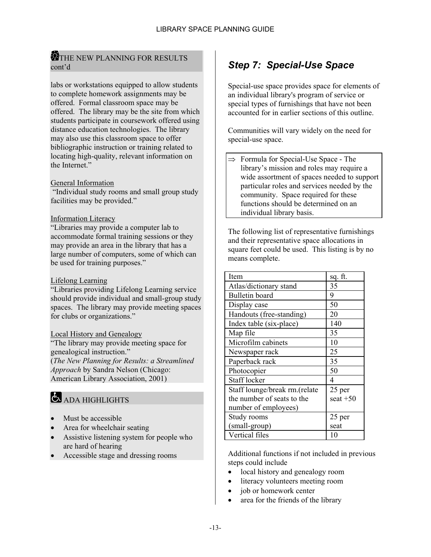### **THE NEW PLANNING FOR RESULTS** cont'd

labs or workstations equipped to allow students to complete homework assignments may be offered. Formal classroom space may be offered. The library may be the site from which students participate in coursework offered using distance education technologies. The library may also use this classroom space to offer bibliographic instruction or training related to locating high-quality, relevant information on the Internet."

### General Information

 "Individual study rooms and small group study facilities may be provided."

### Information Literacy

"Libraries may provide a computer lab to accommodate formal training sessions or they may provide an area in the library that has a large number of computers, some of which can be used for training purposes."

#### Lifelong Learning

"Libraries providing Lifelong Learning service should provide individual and small-group study spaces. The library may provide meeting spaces for clubs or organizations."

### Local History and Genealogy

"The library may provide meeting space for genealogical instruction." (*The New Planning for Results: a Streamlined Approach* by Sandra Nelson (Chicago: American Library Association, 2001)

# ADA HIGHLIGHTS

- Must be accessible
- Area for wheelchair seating
- Assistive listening system for people who are hard of hearing
- Accessible stage and dressing rooms

## <span id="page-16-0"></span>*Step 7: Special-Use Space*

Special-use space provides space for elements of an individual library's program of service or special types of furnishings that have not been accounted for in earlier sections of this outline.

Communities will vary widely on the need for special-use space.

 $\Rightarrow$  Formula for Special-Use Space - The library's mission and roles may require a wide assortment of spaces needed to support particular roles and services needed by the community. Space required for these functions should be determined on an individual library basis.

The following list of representative furnishings and their representative space allocations in square feet could be used. This listing is by no means complete.

| Item                          | sq. ft.    |
|-------------------------------|------------|
| Atlas/dictionary stand        | 35         |
| Bulletin board                | 9          |
| Display case                  | 50         |
| Handouts (free-standing)      | 20         |
| Index table (six-place)       | 140        |
| Map file                      | 35         |
| Microfilm cabinets            | 10         |
| Newspaper rack                | 25         |
| Paperback rack                | 35         |
| Photocopier                   | 50         |
| <b>Staff locker</b>           | 4          |
| Staff lounge/break rm.(relate | 25 per     |
| the number of seats to the    | seat $+50$ |
| number of employees)          |            |
| Study rooms                   | 25 per     |
| (small-group)                 | seat       |
| Vertical files                | 10         |

Additional functions if not included in previous steps could include

- local history and genealogy room
- literacy volunteers meeting room
- job or homework center
- area for the friends of the library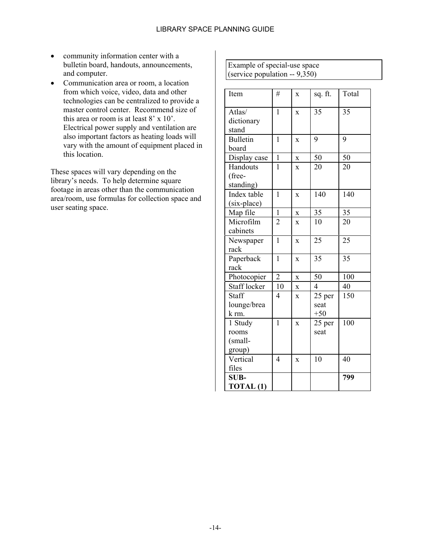- community information center with a bulletin board, handouts, announcements, and computer.
- Communication area or room, a location from which voice, video, data and other technologies can be centralized to provide a master control center. Recommend size of this area or room is at least 8' x 10'. Electrical power supply and ventilation are also important factors as heating loads will vary with the amount of equipment placed in this location.

These spaces will vary depending on the library's needs. To help determine square footage in areas other than the communication area/room, use formulas for collection space and user seating space.

Example of special-use space (service population -- 9,350)

| Item                 | #              | X                  | sq. ft. | Total |
|----------------------|----------------|--------------------|---------|-------|
|                      |                |                    |         |       |
| Atlas/               | $\mathbf{1}$   | $\bar{X}$          | 35      | 35    |
| dictionary           |                |                    |         |       |
| stand                |                |                    |         |       |
| <b>Bulletin</b>      | $\mathbf{1}$   | $\bf{X}$           | 9       | 9     |
| board                |                |                    |         |       |
| Display case         | $\mathbf{1}$   | $\bar{\mathbf{X}}$ | 50      | 50    |
| Handouts             | 1              | X                  | 20      | 20    |
| (free-               |                |                    |         |       |
| standing)            |                |                    |         |       |
| Index table          | $\mathbf{1}$   | X                  | 140     | 140   |
| (six-place)          |                |                    |         |       |
| Map file             | $\mathbf{1}$   | $\overline{X}$     | 35      | 35    |
| Microfilm            | $\overline{2}$ | $\mathbf{x}$       | 10      | 20    |
| cabinets             |                |                    |         |       |
| Newspaper            | $\mathbf{1}$   | $\bf{X}$           | 25      | 25    |
| rack                 |                |                    |         |       |
| Paperback            | $\mathbf{1}$   | $\overline{X}$     | 35      | 35    |
| rack                 |                |                    |         |       |
| Photocopier          | $\overline{2}$ | $\mathbf X$        | 50      | 100   |
| Staff locker         | 10             | X                  | 4       | 40    |
| Staff                | 4              | X                  | 25 per  | 150   |
| lounge/brea          |                |                    | seat    |       |
| k rm.                |                |                    | $+50$   |       |
| 1 Study              | $\mathbf{1}$   | X                  | 25 per  | 100   |
| rooms                |                |                    | seat    |       |
| (small-              |                |                    |         |       |
| group)               |                |                    |         |       |
| Vertical             | $\overline{4}$ | X                  | 10      | 40    |
| files                |                |                    |         |       |
| SUB-                 |                |                    |         | 799   |
| TOTAL <sub>(1)</sub> |                |                    |         |       |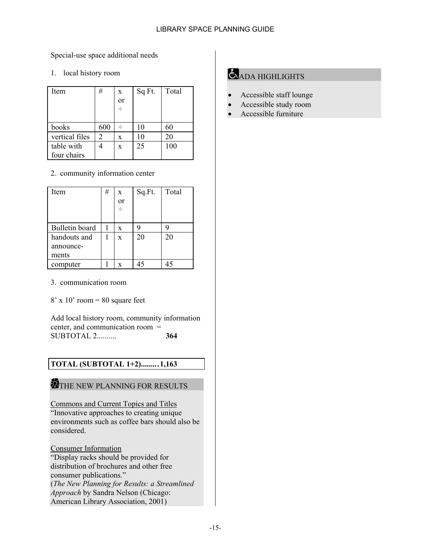### Special-use space additional needs

1. local history room

| Item           | #   | X<br>or<br>$\div$ | Sq Ft. | Total |
|----------------|-----|-------------------|--------|-------|
| books          | 600 |                   | 10     | 60    |
| vertical files | 2   | X                 | 10     | 20    |
| table with     |     | X                 | 25     | 100   |
| four chairs    |     |                   |        |       |

### 2. community information center

| Item           | # | $\mathbf x$ | Sq.Ft. | Total |
|----------------|---|-------------|--------|-------|
|                |   | or          |        |       |
|                |   | ÷           |        |       |
|                |   |             |        |       |
| Bulletin board |   | X           | 9      |       |
| handouts and   |   | X           | 20     | 20    |
| announce-      |   |             |        |       |
| ments          |   |             |        |       |
| computer       |   | X           |        |       |

3. communication room

 $8'$  x 10' room = 80 square feet

Add local history room, community information center, and communication room = SUBTOTAL 2.......... **364**

### **TOTAL (SUBTOTAL 1+2).........1,163**

# THE NEW PLANNING FOR RESULTS

Commons and Current Topics and Titles "Innovative approaches to creating unique environments such as coffee bars should also be considered.

Consumer Information "Display racks should be provided for distribution of brochures and other free consumer publications." (*The New Planning for Results: a Streamlined Approach* by Sandra Nelson (Chicago: American Library Association, 2001)

# ADA HIGHLIGHTS

- Accessible staff lounge
- Accessible study room
- Accessible furniture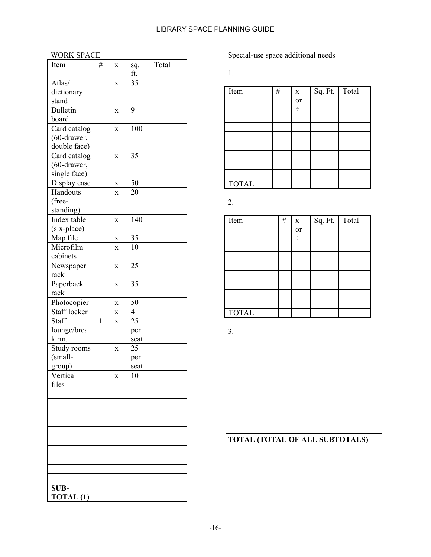### LIBRARY SPACE PLANNING GUIDE

### WORK SPACE

| Item              | # | X           | sq.<br>ft.     | Total |
|-------------------|---|-------------|----------------|-------|
| Atlas/            |   | X           | 35             |       |
| dictionary        |   |             |                |       |
| stand             |   |             |                |       |
| <b>Bulletin</b>   |   | X           | 9              |       |
| board             |   |             |                |       |
| Card catalog      |   | $\mathbf X$ | 100            |       |
| (60-drawer,       |   |             |                |       |
| double face)      |   |             |                |       |
| Card catalog      |   | X           | 35             |       |
| (60-drawer,       |   |             |                |       |
| single face)      |   |             |                |       |
| Display case      |   | X           | 50             |       |
| Handouts          |   | X           | 20             |       |
| (free-            |   |             |                |       |
| standing)         |   |             |                |       |
| Index table       |   | X           | 140            |       |
| (six-place)       |   |             |                |       |
| Map file          |   | $\bf{X}$    | 35             |       |
| Microfilm         |   | X           | 10             |       |
| cabinets          |   |             |                |       |
| Newspaper         |   | $\mathbf X$ | 25             |       |
| rack              |   |             |                |       |
| Paperback         |   | X           | 35             |       |
| rack              |   |             |                |       |
| Photocopier       |   | X           | 50             |       |
| Staff locker      |   | $\mathbf X$ | $\overline{4}$ |       |
| Staff             | 1 |             | 25             |       |
| lounge/brea       |   | X           |                |       |
| k rm.             |   |             | per<br>seat    |       |
| Study rooms       |   |             | 25             |       |
| (small-           |   | X           |                |       |
| group)            |   |             | per<br>seat    |       |
|                   |   |             | 10             |       |
| Vertical<br>files |   | X           |                |       |
|                   |   |             |                |       |
|                   |   |             |                |       |
|                   |   |             |                |       |
|                   |   |             |                |       |
|                   |   |             |                |       |
|                   |   |             |                |       |
|                   |   |             |                |       |
|                   |   |             |                |       |
|                   |   |             |                |       |
|                   |   |             |                |       |
|                   |   |             |                |       |
| SUB-              |   |             |                |       |
| TOTAL (1)         |   |             |                |       |

Special-use space additional needs

1.

| Item         | $\#$ | $\mathbf X$ | Sq. Ft. Total |  |
|--------------|------|-------------|---------------|--|
|              |      | or          |               |  |
|              |      | ÷           |               |  |
|              |      |             |               |  |
|              |      |             |               |  |
|              |      |             |               |  |
|              |      |             |               |  |
|              |      |             |               |  |
|              |      |             |               |  |
|              |      |             |               |  |
| <b>TOTAL</b> |      |             |               |  |

2.

| Item         | $\#$ | $\mathbf X$<br>or<br>$\div$ | Sq. Ft. Total |  |
|--------------|------|-----------------------------|---------------|--|
|              |      |                             |               |  |
|              |      |                             |               |  |
|              |      |                             |               |  |
| <b>TOTAL</b> |      |                             |               |  |

3.

# **TOTAL (TOTAL OF ALL SUBTOTALS)**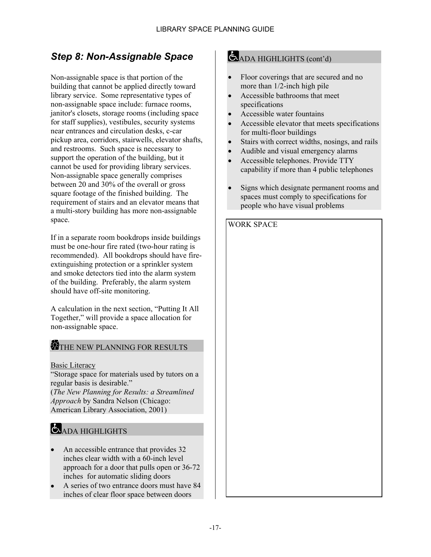# <span id="page-20-0"></span>*Step 8: Non-Assignable Space*

Non-assignable space is that portion of the building that cannot be applied directly toward library service. Some representative types of non-assignable space include: furnace rooms, janitor's closets, storage rooms (including space for staff supplies), vestibules, security systems near entrances and circulation desks, c-car pickup area, corridors, stairwells, elevator shafts, and restrooms. Such space is necessary to support the operation of the building, but it cannot be used for providing library services. Non-assignable space generally comprises between 20 and 30% of the overall or gross square footage of the finished building. The requirement of stairs and an elevator means that a multi-story building has more non-assignable space.

If in a separate room bookdrops inside buildings must be one-hour fire rated (two-hour rating is recommended). All bookdrops should have fireextinguishing protection or a sprinkler system and smoke detectors tied into the alarm system of the building. Preferably, the alarm system should have off-site monitoring.

A calculation in the next section, "Putting It All Together," will provide a space allocation for non-assignable space.

### THE NEW PLANNING FOR RESULTS

Basic Literacy

"Storage space for materials used by tutors on a regular basis is desirable." (*The New Planning for Results: a Streamlined Approach* by Sandra Nelson (Chicago: American Library Association, 2001)

## **ADA HIGHLIGHTS**

- An accessible entrance that provides 32 inches clear width with a 60-inch level approach for a door that pulls open or 36-72 inches for automatic sliding doors
- A series of two entrance doors must have 84 inches of clear floor space between doors

## ADA HIGHLIGHTS (cont'd)

- Floor coverings that are secured and no more than 1/2-inch high pile
- Accessible bathrooms that meet specifications
- Accessible water fountains
- Accessible elevator that meets specifications for multi-floor buildings
- Stairs with correct widths, nosings, and rails
- Audible and visual emergency alarms
- Accessible telephones. Provide TTY capability if more than 4 public telephones
- Signs which designate permanent rooms and spaces must comply to specifications for people who have visual problems

WORK SPACE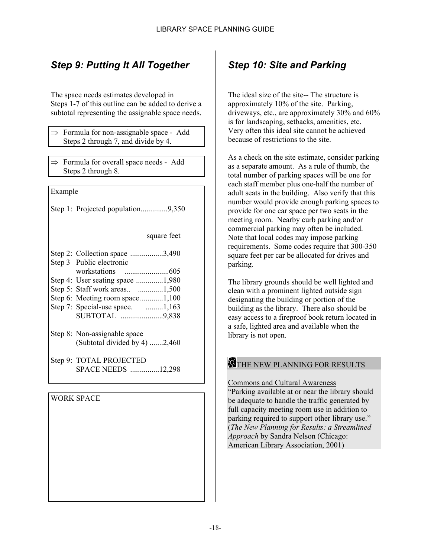# <span id="page-21-0"></span>*Step 9: Putting It All Together*

The space needs estimates developed in Steps 1-7 of this outline can be added to derive a subtotal representing the assignable space needs.

- $\Rightarrow$  Formula for non-assignable space Add Steps 2 through 7, and divide by 4.
- $\Rightarrow$  Formula for overall space needs Add Steps 2 through 8.

Example

Step 1: Projected population..............9,350

square feet

| Step 2: Collection space 3,490<br>Step 3 Public electronic    |
|---------------------------------------------------------------|
|                                                               |
| Step 4: User seating space 1,980                              |
| Step 5: Staff work areas 1,500                                |
| Step 6: Meeting room space1,100                               |
| Step 7: Special-use space. 1,163                              |
| SUBTOTAL 9,838                                                |
| Step 8: Non-assignable space<br>(Subtotal divided by 4) 2,460 |
| Step 9: TOTAL PROJECTED<br>SPACE NEEDS 12,298                 |

WORK SPACE

# <span id="page-21-1"></span>*Step 10: Site and Parking*

The ideal size of the site-- The structure is approximately 10% of the site. Parking, driveways, etc., are approximately 30% and 60% is for landscaping, setbacks, amenities, etc. Very often this ideal site cannot be achieved because of restrictions to the site.

As a check on the site estimate, consider parking as a separate amount. As a rule of thumb, the total number of parking spaces will be one for each staff member plus one-half the number of adult seats in the building. Also verify that this number would provide enough parking spaces to provide for one car space per two seats in the meeting room. Nearby curb parking and/or commercial parking may often be included. Note that local codes may impose parking requirements. Some codes require that 300-350 square feet per car be allocated for drives and parking.

The library grounds should be well lighted and clean with a prominent lighted outside sign designating the building or portion of the building as the library. There also should be easy access to a fireproof book return located in a safe, lighted area and available when the library is not open.

### THE NEW PLANNING FOR RESULTS

Commons and Cultural Awareness "Parking available at or near the library should be adequate to handle the traffic generated by full capacity meeting room use in addition to parking required to support other library use." (*The New Planning for Results: a Streamlined Approach* by Sandra Nelson (Chicago: American Library Association, 2001)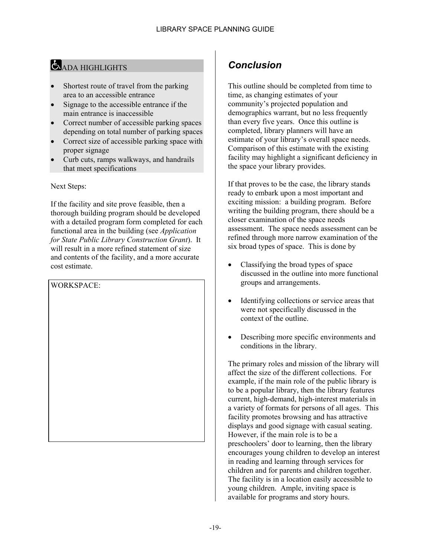# ADA HIGHLIGHTS

- Shortest route of travel from the parking area to an accessible entrance
- Signage to the accessible entrance if the main entrance is inaccessible
- Correct number of accessible parking spaces depending on total number of parking spaces
- Correct size of accessible parking space with proper signage
- Curb cuts, ramps walkways, and handrails that meet specifications

Next Steps:

If the facility and site prove feasible, then a thorough building program should be developed with a detailed program form completed for each functional area in the building (see *Application for State Public Library Construction Grant*). It will result in a more refined statement of size and contents of the facility, and a more accurate cost estimate.

WORKSPACE:

# <span id="page-22-0"></span>*Conclusion*

This outline should be completed from time to time, as changing estimates of your community's projected population and demographics warrant, but no less frequently than every five years. Once this outline is completed, library planners will have an estimate of your library's overall space needs. Comparison of this estimate with the existing facility may highlight a significant deficiency in the space your library provides.

If that proves to be the case, the library stands ready to embark upon a most important and exciting mission: a building program. Before writing the building program, there should be a closer examination of the space needs assessment. The space needs assessment can be refined through more narrow examination of the six broad types of space. This is done by

- Classifying the broad types of space discussed in the outline into more functional groups and arrangements.
- Identifying collections or service areas that were not specifically discussed in the context of the outline.
- Describing more specific environments and conditions in the library.

The primary roles and mission of the library will affect the size of the different collections. For example, if the main role of the public library is to be a popular library, then the library features current, high-demand, high-interest materials in a variety of formats for persons of all ages. This facility promotes browsing and has attractive displays and good signage with casual seating. However, if the main role is to be a preschoolers' door to learning, then the library encourages young children to develop an interest in reading and learning through services for children and for parents and children together. The facility is in a location easily accessible to young children. Ample, inviting space is available for programs and story hours.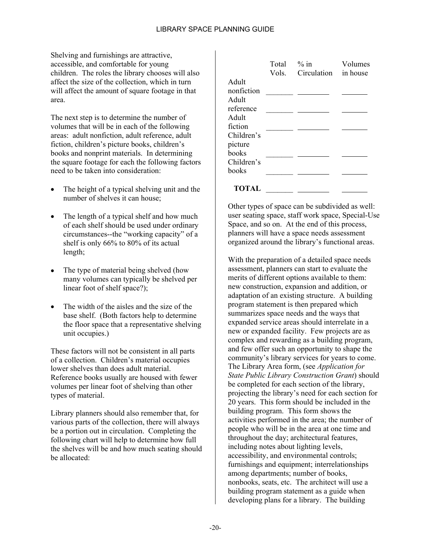Shelving and furnishings are attractive, accessible, and comfortable for young children. The roles the library chooses will also affect the size of the collection, which in turn will affect the amount of square footage in that area.

The next step is to determine the number of volumes that will be in each of the following areas: adult nonfiction, adult reference, adult fiction, children's picture books, children's books and nonprint materials. In determining the square footage for each the following factors need to be taken into consideration:

- The height of a typical shelving unit and the number of shelves it can house;
- The length of a typical shelf and how much of each shelf should be used under ordinary circumstances--the "working capacity" of a shelf is only 66% to 80% of its actual length;
- The type of material being shelved (how many volumes can typically be shelved per linear foot of shelf space?);
- The width of the aisles and the size of the base shelf. (Both factors help to determine the floor space that a representative shelving unit occupies.)

These factors will not be consistent in all parts of a collection. Children's material occupies lower shelves than does adult material. Reference books usually are housed with fewer volumes per linear foot of shelving than other types of material.

Library planners should also remember that, for various parts of the collection, there will always be a portion out in circulation. Completing the following chart will help to determine how full the shelves will be and how much seating should be allocated:

|            | Total % in | Vols. Circulation in house | Volumes |
|------------|------------|----------------------------|---------|
| Adult      |            |                            |         |
| nonfiction |            |                            |         |
| Adult      |            |                            |         |
| reference  |            |                            |         |
| Adult      |            |                            |         |
| fiction    |            |                            |         |
| Children's |            |                            |         |
| picture    |            |                            |         |
| books      |            |                            |         |
| Children's |            |                            |         |
| books      |            |                            |         |
| TOTAL      |            |                            |         |

Other types of space can be subdivided as well: user seating space, staff work space, Special-Use Space, and so on. At the end of this process, planners will have a space needs assessment organized around the library's functional areas.

With the preparation of a detailed space needs assessment, planners can start to evaluate the merits of different options available to them: new construction, expansion and addition, or adaptation of an existing structure. A building program statement is then prepared which summarizes space needs and the ways that expanded service areas should interrelate in a new or expanded facility. Few projects are as complex and rewarding as a building program, and few offer such an opportunity to shape the community's library services for years to come. The Library Area form, (see *Application for State Public Library Construction Grant*) should be completed for each section of the library, projecting the library's need for each section for 20 years. This form should be included in the building program. This form shows the activities performed in the area; the number of people who will be in the area at one time and throughout the day; architectural features, including notes about lighting levels, accessibility, and environmental controls; furnishings and equipment; interrelationships among departments; number of books, nonbooks, seats, etc. The architect will use a building program statement as a guide when developing plans for a library. The building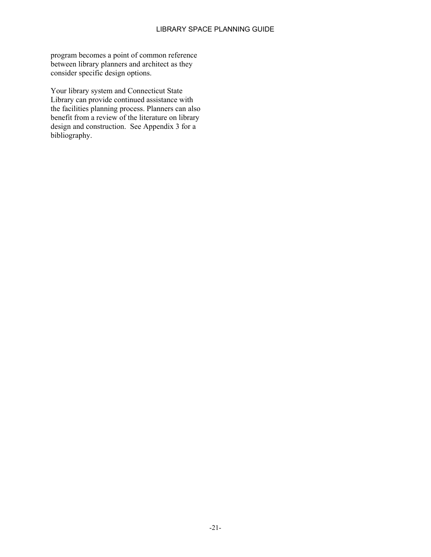program becomes a point of common reference between library planners and architect as they consider specific design options.

Your library system and Connecticut State Library can provide continued assistance with the facilities planning process. Planners can also benefit from a review of the literature on library design and construction. See Appendix 3 for a bibliography.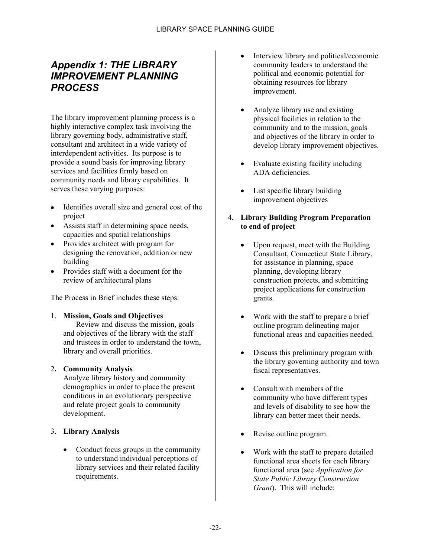## <span id="page-25-0"></span>*Appendix 1: THE LIBRARY IMPROVEMENT PLANNING PROCESS*

The library improvement planning process is a highly interactive complex task involving the library governing body, administrative staff, consultant and architect in a wide variety of interdependent activities. Its purpose is to provide a sound basis for improving library services and facilities firmly based on community needs and library capabilities. It serves these varying purposes:

- Identifies overall size and general cost of the project
- Assists staff in determining space needs, capacities and spatial relationships
- Provides architect with program for designing the renovation, addition or new building
- Provides staff with a document for the review of architectural plans

The Process in Brief includes these steps:

### 1. **Mission, Goals and Objectives**

Review and discuss the mission, goals and objectives of the library with the staff and trustees in order to understand the town, library and overall priorities.

### 2**. Community Analysis**

Analyze library history and community demographics in order to place the present conditions in an evolutionary perspective and relate project goals to community development.

### 3. **Library Analysis**

• Conduct focus groups in the community to understand individual perceptions of library services and their related facility requirements.

- Interview library and political/economic community leaders to understand the political and economic potential for obtaining resources for library improvement.
- Analyze library use and existing physical facilities in relation to the community and to the mission, goals and objectives of the library in order to develop library improvement objectives.
- Evaluate existing facility including ADA deficiencies.
- List specific library building improvement objectives
- 4**. Library Building Program Preparation to end of project**
	- Upon request, meet with the Building Consultant, Connecticut State Library, for assistance in planning, space planning, developing library construction projects, and submitting project applications for construction grants.
	- Work with the staff to prepare a brief outline program delineating major functional areas and capacities needed.
	- Discuss this preliminary program with the library governing authority and town fiscal representatives.
	- Consult with members of the community who have different types and levels of disability to see how the library can better meet their needs.
	- Revise outline program.
	- Work with the staff to prepare detailed functional area sheets for each library functional area (see *Application for State Public Library Construction Grant*). This will include: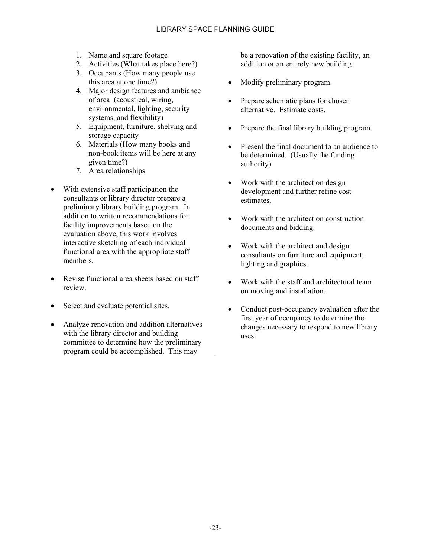- 1. Name and square footage
- 2. Activities (What takes place here?)
- 3. Occupants (How many people use this area at one time?)
- 4. Major design features and ambiance of area (acoustical, wiring, environmental, lighting, security systems, and flexibility)
- 5. Equipment, furniture, shelving and storage capacity
- 6. Materials (How many books and non-book items will be here at any given time?)
- 7. Area relationships
- With extensive staff participation the consultants or library director prepare a preliminary library building program. In addition to written recommendations for facility improvements based on the evaluation above, this work involves interactive sketching of each individual functional area with the appropriate staff members.
- Revise functional area sheets based on staff review.
- Select and evaluate potential sites.
- Analyze renovation and addition alternatives with the library director and building committee to determine how the preliminary program could be accomplished. This may

be a renovation of the existing facility, an addition or an entirely new building.

- Modify preliminary program.
- Prepare schematic plans for chosen alternative. Estimate costs.
- Prepare the final library building program.
- Present the final document to an audience to be determined. (Usually the funding authority)
- Work with the architect on design development and further refine cost estimates.
- Work with the architect on construction documents and bidding.
- Work with the architect and design consultants on furniture and equipment, lighting and graphics.
- Work with the staff and architectural team on moving and installation.
- Conduct post-occupancy evaluation after the first year of occupancy to determine the changes necessary to respond to new library uses.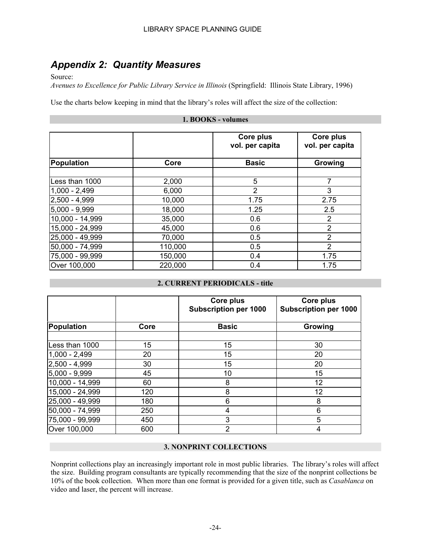## <span id="page-27-0"></span>*Appendix 2: Quantity Measures*

Source:

*Avenues to Excellence for Public Library Service in Illinois* (Springfield: Illinois State Library, 1996)

Use the charts below keeping in mind that the library's roles will affect the size of the collection:

#### **1. BOOKS - volumes**

|                  |         | Core plus<br>vol. per capita | Core plus<br>vol. per capita |
|------------------|---------|------------------------------|------------------------------|
| Population       | Core    | <b>Basic</b>                 | Growing                      |
| Less than 1000   | 2,000   | 5                            | 7                            |
| $ 1,000 - 2,499$ | 6,000   | 2                            | 3                            |
| $2,500 - 4,999$  | 10,000  | 1.75                         | 2.75                         |
| $5,000 - 9,999$  | 18,000  | 1.25                         | 2.5                          |
| 10,000 - 14,999  | 35,000  | 0.6                          | 2                            |
| 15,000 - 24,999  | 45,000  | 0.6                          | $\overline{2}$               |
| 25,000 - 49,999  | 70,000  | 0.5                          | $\overline{2}$               |
| 50,000 - 74,999  | 110,000 | 0.5                          | $\overline{2}$               |
| 75,000 - 99,999  | 150,000 | 0.4                          | 1.75                         |
| Over 100,000     | 220,000 | 0.4                          | 1.75                         |

### **2. CURRENT PERIODICALS - title**

|                 |      | Core plus<br><b>Subscription per 1000</b> | Core plus<br><b>Subscription per 1000</b> |
|-----------------|------|-------------------------------------------|-------------------------------------------|
| Population      | Core | <b>Basic</b>                              | Growing                                   |
| Less than 1000  | 15   | 15                                        | 30                                        |
| $1,000 - 2,499$ | 20   | 15                                        | 20                                        |
| 2,500 - 4,999   | 30   | 15                                        | 20                                        |
| 5,000 - 9,999   | 45   | 10                                        | 15                                        |
| 10,000 - 14,999 | 60   | 8                                         | 12                                        |
| 15,000 - 24,999 | 120  | 8                                         | 12                                        |
| 25,000 - 49,999 | 180  | 6                                         | 8                                         |
| 50,000 - 74,999 | 250  | 4                                         | 6                                         |
| 75,000 - 99,999 | 450  | 3                                         | 5                                         |
| Over 100,000    | 600  | $\overline{2}$                            | 4                                         |

### **3. NONPRINT COLLECTIONS**

Nonprint collections play an increasingly important role in most public libraries. The library's roles will affect the size. Building program consultants are typically recommending that the size of the nonprint collections be 10% of the book collection. When more than one format is provided for a given title, such as *Casablanca* on video and laser, the percent will increase.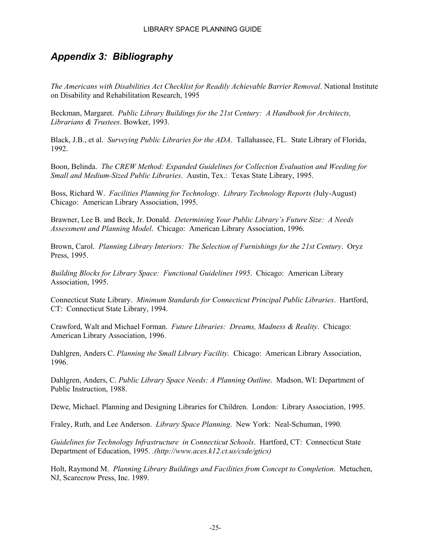## <span id="page-28-0"></span>*Appendix 3: Bibliography*

*The Americans with Disabilities Act Checklist for Readily Achievable Barrier Removal*. National Institute on Disability and Rehabilitation Research, 1995

Beckman, Margaret. *Public Library Buildings for the 21st Century: A Handbook for Architects, Librarians & Trustees*. Bowker, 1993.

Black, J.B., et al. *Surveying Public Libraries for the ADA*. Tallahassee, FL. State Library of Florida, 1992.

Boon, Belinda. *The CREW Method: Expanded Guidelines for Collection Evaluation and Weeding for Small and Medium-Sized Public Libraries*. Austin, Tex.: Texas State Library, 1995.

Boss, Richard W. *Facilities Planning for Technology*. *Library Technology Reports (*July-August) Chicago: American Library Association, 1995.

Brawner, Lee B. and Beck, Jr. Donald. *Determining Your Public Library's Future Size: A Needs Assessment and Planning Model*. Chicago: American Library Association, 1996.

Brown, Carol. *Planning Library Interiors: The Selection of Furnishings for the 21st Century*. Oryz Press, 1995.

*Building Blocks for Library Space: Functional Guidelines 1995*. Chicago: American Library Association, 1995.

Connecticut State Library. *Minimum Standards for Connecticut Principal Public Libraries*. Hartford, CT: Connecticut State Library, 1994.

Crawford, Walt and Michael Forman. *Future Libraries: Dreams, Madness & Reality*. Chicago: American Library Association, 1996.

Dahlgren, Anders C. *Planning the Small Library Facility.* Chicago: American Library Association, 1996.

Dahlgren, Anders, C. *Public Library Space Needs: A Planning Outline*. Madson, WI: Department of Public Instruction, 1988.

Dewe, Michael. Planning and Designing Libraries for Children. London: Library Association, 1995.

Fraley, Ruth, and Lee Anderson. *Library Space Planning*. New York: Neal-Schuman, 1990.

*Guidelines for Technology Infrastructure in Connecticut Schools*. Hartford, CT: Connecticut State Department of Education, 1995. *.(http://www.aces.k12.ct.us/csde/gtics)*

Holt, Raymond M. *Planning Library Buildings and Facilities from Concept to Completion*. Metuchen, NJ, Scarecrow Press, Inc. 1989.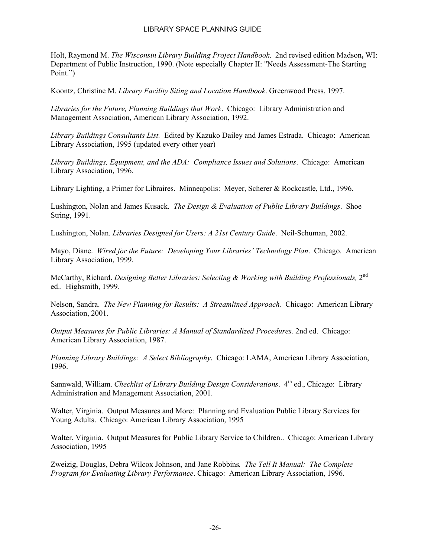#### LIBRARY SPACE PLANNING GUIDE

Holt, Raymond M. *The Wisconsin Library Building Project Handbook*. 2nd revised edition Madson**,** WI: Department of Public Instruction, 1990. (Note **e**specially Chapter II: "Needs Assessment-The Starting Point.")

Koontz, Christine M. *Library Facility Siting and Location Handbook*. Greenwood Press, 1997.

*Libraries for the Future, Planning Buildings that Work*. Chicago: Library Administration and Management Association, American Library Association, 1992.

*Library Buildings Consultants List.* Edited by Kazuko Dailey and James Estrada. Chicago: American Library Association, 1995 (updated every other year)

*Library Buildings, Equipment, and the ADA: Compliance Issues and Solutions*. Chicago: American Library Association, 1996.

Library Lighting, a Primer for Libraires. Minneapolis: Meyer, Scherer & Rockcastle, Ltd., 1996.

Lushington, Nolan and James Kusack*. The Design & Evaluation of Public Library Buildings*. Shoe String, 1991.

Lushington, Nolan. *Libraries Designed for Users: A 21st Century Guide*. Neil-Schuman, 2002.

Mayo, Diane. *Wired for the Future: Developing Your Libraries' Technology Plan*. Chicago. American Library Association, 1999.

McCarthy, Richard. *Designing Better Libraries: Selecting & Working with Building Professionals,* 2nd ed.. Highsmith, 1999.

Nelson, Sandra. *The New Planning for Results: A Streamlined Approach.* Chicago: American Library Association, 2001.

*Output Measures for Public Libraries: A Manual of Standardized Procedures.* 2nd ed. Chicago: American Library Association, 1987.

*Planning Library Buildings: A Select Bibliography*. Chicago: LAMA, American Library Association, 1996.

Sannwald, William. *Checklist of Library Building Design Considerations*. 4<sup>th</sup> ed., Chicago: Library Administration and Management Association, 2001.

Walter, Virginia. Output Measures and More: Planning and Evaluation Public Library Services for Young Adults. Chicago: American Library Association, 1995

Walter, Virginia. Output Measures for Public Library Service to Children.. Chicago: American Library Association, 1995

Zweizig, Douglas, Debra Wilcox Johnson, and Jane Robbins*. The Tell It Manual: The Complete Program for Evaluating Library Performance*. Chicago: American Library Association, 1996.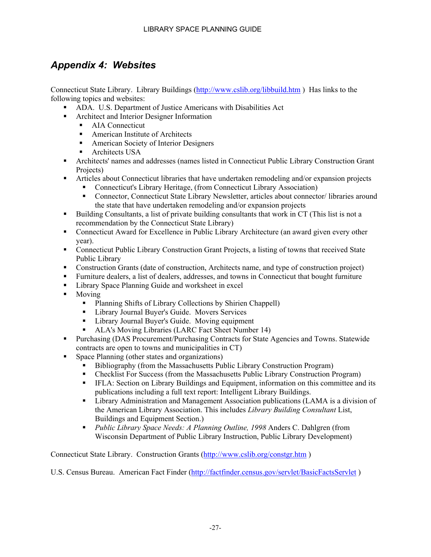# <span id="page-30-0"></span>*Appendix 4: Websites*

Connecticut State Library. Library Buildings (<http://www.cslib.org/libbuild.htm>) Has links to the following topics and websites:

- ADA. U.S. Department of Justice Americans with Disabilities Act
- **Architect and Interior Designer Information** 
	- AIA Connecticut
	- American Institute of Architects
	- **American Society of Interior Designers**
	- **-** Architects USA
- Architects' names and addresses (names listed in Connecticut Public Library Construction Grant Projects)
- Articles about Connecticut libraries that have undertaken remodeling and/or expansion projects
	- Connecticut's Library Heritage, (from Connecticut Library Association)
	- Connector, Connecticut State Library Newsletter, articles about connector/ libraries around the state that have undertaken remodeling and/or expansion projects
- Building Consultants, a list of private building consultants that work in CT (This list is not a recommendation by the Connecticut State Library)
- Connecticut Award for Excellence in Public Library Architecture (an award given every other year).
- Connecticut Public Library Construction Grant Projects, a listing of towns that received State Public Library
- Construction Grants (date of construction, Architects name, and type of construction project)
- Furniture dealers, a list of dealers, addresses, and towns in Connecticut that bought furniture
- **EXECUTE:** Library Space Planning Guide and worksheet in excel
- **Moving** 
	- Planning Shifts of Library Collections by Shirien Chappell)
	- Library Journal Buyer's Guide. Movers Services
	- **Library Journal Buyer's Guide. Moving equipment**
	- ALA's Moving Libraries (LARC Fact Sheet Number 14)
- Purchasing (DAS Procurement/Purchasing Contracts for State Agencies and Towns. Statewide contracts are open to towns and municipalities in CT)
- Space Planning (other states and organizations)
	- Bibliography (from the Massachusetts Public Library Construction Program)
	- Checklist For Success (from the Massachusetts Public Library Construction Program)
	- IFLA: Section on Library Buildings and Equipment, information on this committee and its publications including a full text report: Intelligent Library Buildings.
	- Library Administration and Management Association publications (LAMA is a division of the American Library Association. This includes *Library Building Consultant* List, Buildings and Equipment Section.)
	- *Public Library Space Needs: A Planning Outline, 1998* Anders C. Dahlgren (from Wisconsin Department of Public Library Instruction, Public Library Development)

Connecticut State Library. Construction Grants (<http://www.cslib.org/constgr.htm>)

U.S. Census Bureau. American Fact Finder (<http://factfinder.census.gov/servlet/BasicFactsServlet>)